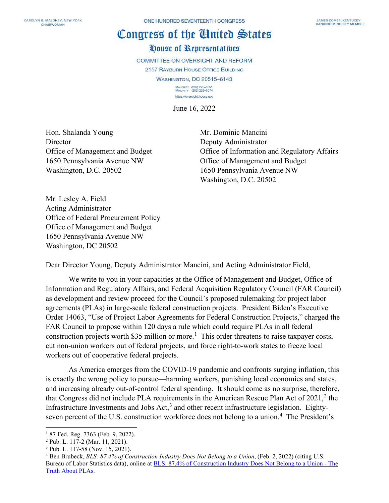## Congress of the Cluited States

## House of Representatives

**COMMITTEE ON OVERSIGHT AND REFORM** 2157 RAYBURN HOUSE OFFICE BUILDING **WASHINGTON, DC 20515-6143** MAJORITY (202) 225-5051<br>MINORITY (202) 225-5074

https://oversight.house.gov

June 16, 2022

Hon. Shalanda Young Mr. Dominic Mancini Director Deputy Administrator 1650 Pennsylvania Avenue NW Office of Management and Budget Washington, D.C. 20502 1650 Pennsylvania Avenue NW

Office of Management and Budget **Office of Information and Regulatory Affairs** Washington, D.C. 20502

Mr. Lesley A. Field Acting Administrator Office of Federal Procurement Policy Office of Management and Budget 1650 Pennsylvania Avenue NW Washington, DC 20502

Dear Director Young, Deputy Administrator Mancini, and Acting Administrator Field,

We write to you in your capacities at the Office of Management and Budget, Office of Information and Regulatory Affairs, and Federal Acquisition Regulatory Council (FAR Council) as development and review proceed for the Council's proposed rulemaking for project labor agreements (PLAs) in large-scale federal construction projects. President Biden's Executive Order 14063, "Use of Project Labor Agreements for Federal Construction Projects," charged the FAR Council to propose within 120 days a rule which could require PLAs in all federal construction projects worth \$35 million or more.<sup>[1](#page-0-0)</sup> This order threatens to raise taxpayer costs, cut non-union workers out of federal projects, and force right-to-work states to freeze local workers out of cooperative federal projects.

As America emerges from the COVID-19 pandemic and confronts surging inflation, this is exactly the wrong policy to pursue—harming workers, punishing local economies and states, and increasing already out-of-control federal spending. It should come as no surprise, therefore, that Congress did not include PLA requirements in the American Rescue Plan Act of 2021, [2](#page-0-1) the Infrastructure Investments and Jobs Act,<sup>[3](#page-0-2)</sup> and other recent infrastructure legislation. Eighty-seven percent of the U.S. construction workforce does not belong to a union.<sup>[4](#page-0-3)</sup> The President's

<span id="page-0-0"></span><sup>&</sup>lt;sup>1</sup> 87 Fed. Reg. 7363 (Feb. 9, 2022).

<span id="page-0-1"></span><sup>2</sup> Pub. L. 117-2 (Mar. 11, 2021).

<span id="page-0-2"></span><sup>3</sup> Pub. L. 117-58 (Nov. 15, 2021).

<span id="page-0-3"></span><sup>4</sup> Ben Brubeck, *BLS: 87.4% of Construction Industry Does Not Belong to a Union*, (Feb. 2, 2022) (citing U.S. Bureau of Labor Statistics data), online a[t BLS: 87.4% of Construction Industry Does Not Belong to a Union -](https://thetruthaboutplas.com/2022/02/02/bls-87-4-of-construction-industry-does-not-belong-to-a-union/) The [Truth About PLAs.](https://thetruthaboutplas.com/2022/02/02/bls-87-4-of-construction-industry-does-not-belong-to-a-union/)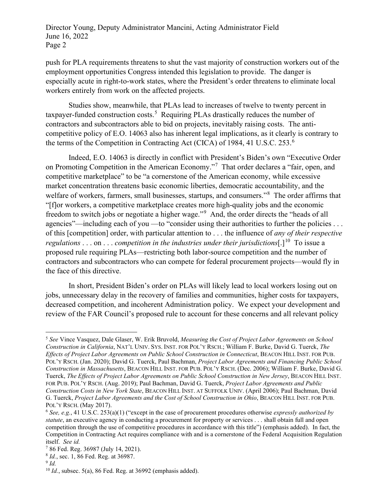Director Young, Deputy Administrator Mancini, Acting Administrator Field June 16, 2022 Page 2

push for PLA requirements threatens to shut the vast majority of construction workers out of the employment opportunities Congress intended this legislation to provide. The danger is especially acute in right-to-work states, where the President's order threatens to eliminate local workers entirely from work on the affected projects.

Studies show, meanwhile, that PLAs lead to increases of twelve to twenty percent in taxpayer-funded construction costs.<sup>[5](#page-1-0)</sup> Requiring PLAs drastically reduces the number of contractors and subcontractors able to bid on projects, inevitably raising costs. The anticompetitive policy of E.O. 14063 also has inherent legal implications, as it clearly is contrary to the terms of the Competition in Contracting Act (CICA) of 1984, 41 U.S.C. 253.[6](#page-1-1)

Indeed, E.O. 14063 is directly in conflict with President's Biden's own "Executive Order on Promoting Competition in the American Economy."<sup>[7](#page-1-2)</sup> That order declares a "fair, open, and competitive marketplace" to be "a cornerstone of the American economy, while excessive market concentration threatens basic economic liberties, democratic accountability, and the welfare of workers, farmers, small businesses, startups, and consumers."<sup>[8](#page-1-3)</sup> The order affirms that "[f]or workers, a competitive marketplace creates more high-quality jobs and the economic freedom to switch jobs or negotiate a higher wage."<sup>[9](#page-1-4)</sup> And, the order directs the "heads of all agencies"—including each of you —to "consider using their authorities to further the policies ... of this [competition] order, with particular attention to . . . the influence of *any of their respective regulations* . . . on . . . *competition in the industries under their jurisdictions*[.]<sup>[10](#page-1-5)</sup> To issue a proposed rule requiring PLAs—restricting both labor-source competition and the number of contractors and subcontractors who can compete for federal procurement projects—would fly in the face of this directive.

In short, President Biden's order on PLAs will likely lead to local workers losing out on jobs, unnecessary delay in the recovery of families and communities, higher costs for taxpayers, decreased competition, and incoherent Administration policy. We expect your development and review of the FAR Council's proposed rule to account for these concerns and all relevant policy

<span id="page-1-0"></span><sup>5</sup> *See* Vince Vasquez, Dale Glaser, W. Erik Bruvold, *Measuring the Cost of Project Labor Agreements on School Construction in California*, NAT'L UNIV. SYS. INST. FOR POL'Y RSCH.; William F. Burke, David G. Tuerck, *The Effects of Project Labor Agreements on Public School Construction in Connecticut*, BEACON HILL INST. FOR PUB. POL'Y RSCH. (Jan. 2020); David G. Tuerck, Paul Bachman, *Project Labor Agreements and Financing Public School Construction in Massachusetts*, BEACON HILL INST. FOR PUB. POL'Y RSCH. (Dec. 2006); William F. Burke, David G. Tuerck, *The Effects of Project Labor Agreements on Public School Construction in New Jersey*, BEACON HILL INST. FOR PUB. POL'Y RSCH. (Aug. 2019); Paul Bachman, David G. Tuerck, *Project Labor Agreements and Public Construction Costs in New York State*, BEACON HILL INST. AT SUFFOLK UNIV. (April 2006); Paul Bachman, David G. Tuerck, *Project Labor Agreements and the Cost of School Construction in Ohio*, BEACON HILL INST. FOR PUB. POL'Y RSCH. (May 2017).

<span id="page-1-1"></span><sup>6</sup> *See, e.g.*, 41 U.S.C. 253(a)(1) ("except in the case of procurement procedures otherwise *expressly authorized by statute*, an executive agency in conducting a procurement for property or services . . . shall obtain full and open competition through the use of competitive procedures in accordance with this title") (emphasis added). In fact, the Competition in Contracting Act requires compliance with and is a cornerstone of the Federal Acquisition Regulation itself. *See id.*

<span id="page-1-2"></span><sup>7</sup> 86 Fed. Reg. 36987 (July 14, 2021).

<span id="page-1-3"></span><sup>8</sup> *Id.*, sec. 1, 86 Fed. Reg. at 36987.

<span id="page-1-5"></span><span id="page-1-4"></span><sup>9</sup> *Id.*

<sup>10</sup> *Id.*, subsec. 5(a), 86 Fed. Reg. at 36992 (emphasis added).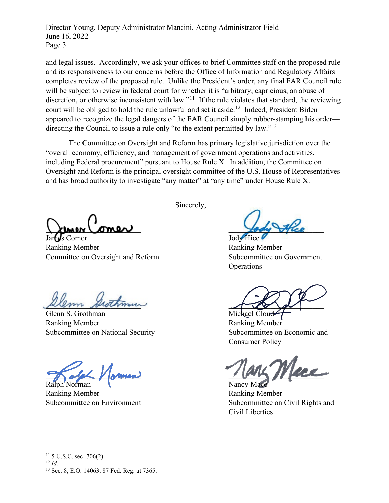Director Young, Deputy Administrator Mancini, Acting Administrator Field June 16, 2022 Page 3

and legal issues. Accordingly, we ask your offices to brief Committee staff on the proposed rule and its responsiveness to our concerns before the Office of Information and Regulatory Affairs completes review of the proposed rule. Unlike the President's order, any final FAR Council rule will be subject to review in federal court for whether it is "arbitrary, capricious, an abuse of discretion, or otherwise inconsistent with law."<sup>[11](#page-2-0)</sup> If the rule violates that standard, the reviewing court will be obliged to hold the rule unlawful and set it aside.<sup>12</sup> Indeed, President Biden appeared to recognize the legal dangers of the FAR Council simply rubber-stamping his order— directing the Council to issue a rule only "to the extent permitted by law."<sup>[13](#page-2-2)</sup>

The Committee on Oversight and Reform has primary legislative jurisdiction over the "overall economy, efficiency, and management of government operations and activities, including Federal procurement" pursuant to House Rule X. In addition, the Committee on Oversight and Reform is the principal oversight committee of the U.S. House of Representatives and has broad authority to investigate "any matter" at "any time" under House Rule X.

Kimer Comer James Comer Jody Hice

Ranking Member Ranking Member Committee on Oversight and Reform Subcommittee on Government

Sincerely,

**Operations** 

 $Allmn$  shothman

Glenn S. Grothman Michael Cloud-Ranking Member Ranking Member Subcommittee on National Security Subcommittee on Economic and

Ralph Norman Nancy Mace

Ranking Member **Ranking Member** 

Consumer Policy

 $\frac{1}{2}$  old  $\frac{1}{2}$  symmetry  $\frac{1}{2}$ 

Subcommittee on Environment Subcommittee on Civil Rights and Civil Liberties

<span id="page-2-2"></span><span id="page-2-1"></span><span id="page-2-0"></span><sup>12</sup> *Id.*

 $11\,$  5 U.S.C. sec. 706(2).

<sup>13</sup> Sec. 8, E.O. 14063, 87 Fed. Reg. at 7365.